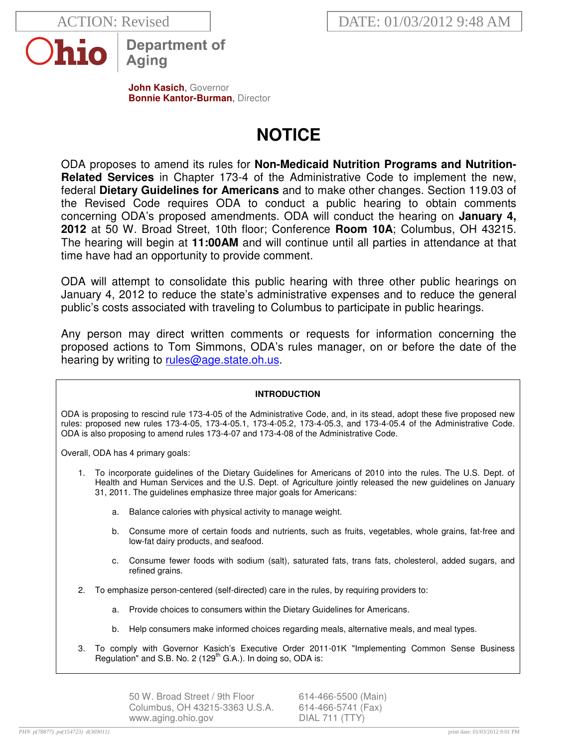

**Department of** Aging

**John Kasich**, Governor **Bonnie Kantor-Burman, Director** 

# **NOTICE**

ODA proposes to amend its rules for **Non-Medicaid Nutrition Programs and Nutrition-Related Services** in Chapter 173-4 of the Administrative Code to implement the new, federal **Dietary Guidelines for Americans** and to make other changes. Section 119.03 of the Revised Code requires ODA to conduct a public hearing to obtain comments concerning ODA's proposed amendments. ODA will conduct the hearing on **January 4, 2012** at 50 W. Broad Street, 10th floor; Conference **Room 10A**; Columbus, OH 43215. The hearing will begin at **11:00AM** and will continue until all parties in attendance at that time have had an opportunity to provide comment.

ODA will attempt to consolidate this public hearing with three other public hearings on January 4, 2012 to reduce the state's administrative expenses and to reduce the general public's costs associated with traveling to Columbus to participate in public hearings.

Any person may direct written comments or requests for information concerning the proposed actions to Tom Simmons, ODA's rules manager, on or before the date of the hearing by writing to rules@age.state.oh.us.

# **INTRODUCTION**

ODA is proposing to rescind rule 173-4-05 of the Administrative Code, and, in its stead, adopt these five proposed new rules: proposed new rules 173-4-05, 173-4-05.1, 173-4-05.2, 173-4-05.3, and 173-4-05.4 of the Administrative Code. ODA is also proposing to amend rules 173-4-07 and 173-4-08 of the Administrative Code.

Overall, ODA has 4 primary goals:

- 1. To incorporate guidelines of the Dietary Guidelines for Americans of 2010 into the rules. The U.S. Dept. of Health and Human Services and the U.S. Dept. of Agriculture jointly released the new guidelines on January 31, 2011. The guidelines emphasize three major goals for Americans:
	- a. Balance calories with physical activity to manage weight.
	- b. Consume more of certain foods and nutrients, such as fruits, vegetables, whole grains, fat-free and low-fat dairy products, and seafood.
	- c. Consume fewer foods with sodium (salt), saturated fats, trans fats, cholesterol, added sugars, and refined grains.
- 2. To emphasize person-centered (self-directed) care in the rules, by requiring providers to:
	- a. Provide choices to consumers within the Dietary Guidelines for Americans.
	- b. Help consumers make informed choices regarding meals, alternative meals, and meal types.
- 3. To comply with Governor Kasich's Executive Order 2011-01K "Implementing Common Sense Business Regulation" and S.B. No. 2 (129 $^{\text{th}}$  G.A.). In doing so, ODA is:

50 W. Broad Street / 9th Floor 614-466-5500 (Main) Columbus, OH 43215-3363 U.S.A. 614-466-5741 (Fax) www.aging.ohio.gov DIAL 711 (TTY)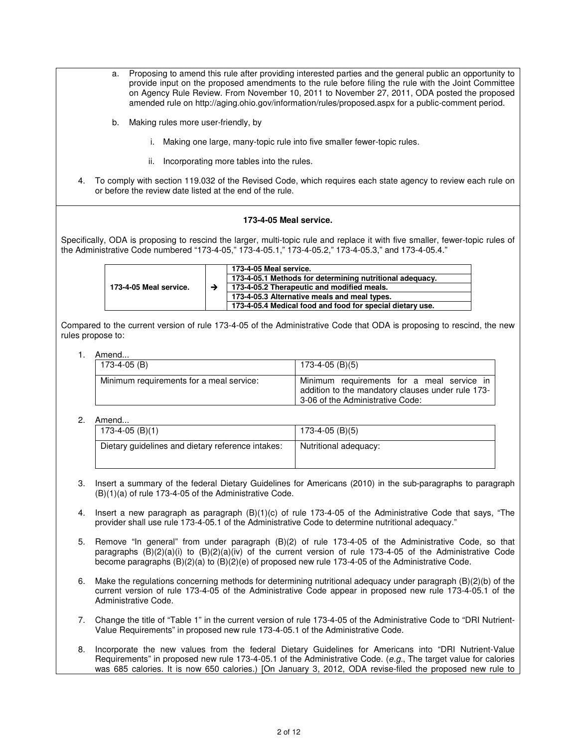- a. Proposing to amend this rule after providing interested parties and the general public an opportunity to provide input on the proposed amendments to the rule before filing the rule with the Joint Committee on Agency Rule Review. From November 10, 2011 to November 27, 2011, ODA posted the proposed amended rule on http://aging.ohio.gov/information/rules/proposed.aspx for a public-comment period.
- b. Making rules more user-friendly, by
	- i. Making one large, many-topic rule into five smaller fewer-topic rules.
	- ii. Incorporating more tables into the rules.
- 4. To comply with section 119.032 of the Revised Code, which requires each state agency to review each rule on or before the review date listed at the end of the rule.

#### **173-4-05 Meal service.**

Specifically, ODA is proposing to rescind the larger, multi-topic rule and replace it with five smaller, fewer-topic rules of the Administrative Code numbered "173-4-05," 173-4-05.1," 173-4-05.2," 173-4-05.3," and 173-4-05.4."

| 173-4-05 Meal service. | 173-4-05 Meal service.<br>173-4-05.1 Methods for determining nutritional adequacy.<br>173-4-05.2 Therapeutic and modified meals. |
|------------------------|----------------------------------------------------------------------------------------------------------------------------------|
|                        | 173-4-05.3 Alternative meals and meal types.                                                                                     |
|                        | 173-4-05.4 Medical food and food for special dietary use.                                                                        |

Compared to the current version of rule 173-4-05 of the Administrative Code that ODA is proposing to rescind, the new rules propose to:

#### 1. Amend...

| 173-4-05 (B)                             | $173-4-05$ (B)(5)                                                                                                                   |
|------------------------------------------|-------------------------------------------------------------------------------------------------------------------------------------|
| Minimum requirements for a meal service: | Minimum requirements for a meal service in<br>addition to the mandatory clauses under rule 173-<br>3-06 of the Administrative Code: |

| .                                                 |                       |
|---------------------------------------------------|-----------------------|
| 173-4-05 (B)(1)                                   | 173-4-05 (B)(5)       |
| Dietary guidelines and dietary reference intakes: | Nutritional adequacy: |

- 3. Insert a summary of the federal Dietary Guidelines for Americans (2010) in the sub-paragraphs to paragraph (B)(1)(a) of rule 173-4-05 of the Administrative Code.
- 4. Insert a new paragraph as paragraph (B)(1)(c) of rule 173-4-05 of the Administrative Code that says, "The provider shall use rule 173-4-05.1 of the Administrative Code to determine nutritional adequacy."
- 5. Remove "In general" from under paragraph (B)(2) of rule 173-4-05 of the Administrative Code, so that paragraphs  $(B)(2)(a)(i)$  to  $(B)(2)(a)(iv)$  of the current version of rule 173-4-05 of the Administrative Code become paragraphs (B)(2)(a) to (B)(2)(e) of proposed new rule 173-4-05 of the Administrative Code.
- 6. Make the regulations concerning methods for determining nutritional adequacy under paragraph (B)(2)(b) of the current version of rule 173-4-05 of the Administrative Code appear in proposed new rule 173-4-05.1 of the Administrative Code.
- 7. Change the title of "Table 1" in the current version of rule 173-4-05 of the Administrative Code to "DRI Nutrient-Value Requirements" in proposed new rule 173-4-05.1 of the Administrative Code.
- 8. Incorporate the new values from the federal Dietary Guidelines for Americans into "DRI Nutrient-Value Requirements" in proposed new rule 173-4-05.1 of the Administrative Code. (e.g., The target value for calories was 685 calories. It is now 650 calories.) [On January 3, 2012, ODA revise-filed the proposed new rule to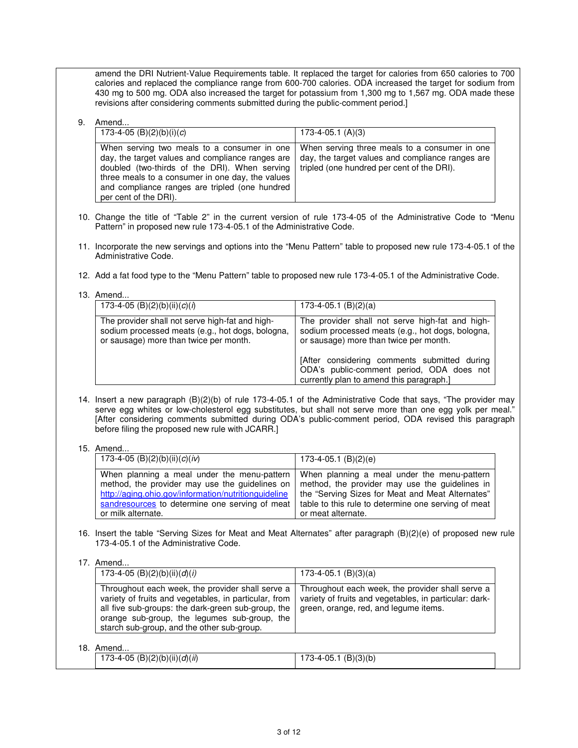amend the DRI Nutrient-Value Requirements table. It replaced the target for calories from 650 calories to 700 calories and replaced the compliance range from 600-700 calories. ODA increased the target for sodium from 430 mg to 500 mg. ODA also increased the target for potassium from 1,300 mg to 1,567 mg. ODA made these revisions after considering comments submitted during the public-comment period.]

## 9. Amend...

| 173-4-05 (B)(2)(b)(i)(c)                                                                                                                                                                                                                                                        | 173-4-05.1 (A)(3)                                                                                                                               |
|---------------------------------------------------------------------------------------------------------------------------------------------------------------------------------------------------------------------------------------------------------------------------------|-------------------------------------------------------------------------------------------------------------------------------------------------|
| When serving two meals to a consumer in one<br>day, the target values and compliance ranges are<br>doubled (two-thirds of the DRI). When serving<br>three meals to a consumer in one day, the values<br>and compliance ranges are tripled (one hundred<br>per cent of the DRI). | When serving three meals to a consumer in one<br>day, the target values and compliance ranges are<br>tripled (one hundred per cent of the DRI). |

- 10. Change the title of "Table 2" in the current version of rule 173-4-05 of the Administrative Code to "Menu Pattern" in proposed new rule 173-4-05.1 of the Administrative Code.
- 11. Incorporate the new servings and options into the "Menu Pattern" table to proposed new rule 173-4-05.1 of the Administrative Code.
- 12. Add a fat food type to the "Menu Pattern" table to proposed new rule 173-4-05.1 of the Administrative Code.
- 13. Amend...

| 173-4-05 (B)(2)(b)(ii)(c)(i)                                                                                                                  | $173-4-05.1$ (B)(2)(a)                                                                                                                        |
|-----------------------------------------------------------------------------------------------------------------------------------------------|-----------------------------------------------------------------------------------------------------------------------------------------------|
| The provider shall not serve high-fat and high-<br>sodium processed meats (e.g., hot dogs, bologna,<br>or sausage) more than twice per month. | The provider shall not serve high-fat and high-<br>sodium processed meats (e.g., hot dogs, bologna,<br>or sausage) more than twice per month. |
|                                                                                                                                               | [After considering comments submitted during<br>ODA's public-comment period, ODA does not<br>currently plan to amend this paragraph.]         |

- 14. Insert a new paragraph (B)(2)(b) of rule 173-4-05.1 of the Administrative Code that says, "The provider may serve egg whites or low-cholesterol egg substitutes, but shall not serve more than one egg yolk per meal." [After considering comments submitted during ODA's public-comment period, ODA revised this paragraph before filing the proposed new rule with JCARR.]
- 15. Amend...

| 173-4-05 (B)(2)(b)(ii)(c)(iv)                                                                                                                                               | 173-4-05.1 (B)(2)(e)                                                                                                                                                                                                                                                            |
|-----------------------------------------------------------------------------------------------------------------------------------------------------------------------------|---------------------------------------------------------------------------------------------------------------------------------------------------------------------------------------------------------------------------------------------------------------------------------|
| When planning a meal under the menu-pattern<br>method, the provider may use the guidelines on<br>http://aging.ohio.gov/information/nutritionguideline<br>or milk alternate. | When planning a meal under the menu-pattern<br>method, the provider may use the guidelines in<br>the "Serving Sizes for Meat and Meat Alternates"<br>sandresources to determine one serving of meat   table to this rule to determine one serving of meat<br>or meat alternate. |

16. Insert the table "Serving Sizes for Meat and Meat Alternates" after paragraph (B)(2)(e) of proposed new rule 173-4-05.1 of the Administrative Code.

17. Amend...

| 173-4-05 (B)(2)(b)(ii)(d)(i)                                                                                                                                                                                                                                  | $173-4-05.1$ (B)(3)(a)                                                                                                                              |
|---------------------------------------------------------------------------------------------------------------------------------------------------------------------------------------------------------------------------------------------------------------|-----------------------------------------------------------------------------------------------------------------------------------------------------|
| Throughout each week, the provider shall serve a<br>variety of fruits and vegetables, in particular, from<br>all five sub-groups: the dark-green sub-group, the<br>orange sub-group, the legumes sub-group, the<br>starch sub-group, and the other sub-group. | Throughout each week, the provider shall serve a<br>variety of fruits and vegetables, in particular: dark-<br>green, orange, red, and legume items. |

| (B)(2)(b)(ii)(d)(ii)<br>173-4-05<br>. | (B)(3)(b)<br>$70^{\circ}$<br>-05.<br>''-4-ګ، |  |
|---------------------------------------|----------------------------------------------|--|
|                                       |                                              |  |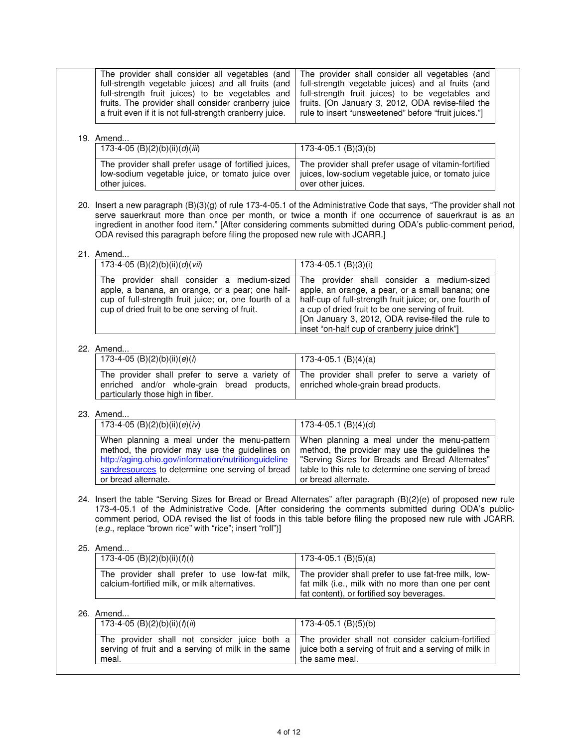## 19. Amend...

| 173-4-05 (B)(2)(b)(ii)(d)(iii)                       | $173-4-05.1$ (B)(3)(b)                               |
|------------------------------------------------------|------------------------------------------------------|
| The provider shall prefer usage of fortified juices, | The provider shall prefer usage of vitamin-fortified |
| low-sodium vegetable juice, or tomato juice over     | juices, low-sodium vegetable juice, or tomato juice  |
| other juices.                                        | over other juices.                                   |

20. Insert a new paragraph (B)(3)(g) of rule 173-4-05.1 of the Administrative Code that says, "The provider shall not serve sauerkraut more than once per month, or twice a month if one occurrence of sauerkraut is as an ingredient in another food item." [After considering comments submitted during ODA's public-comment period, ODA revised this paragraph before filing the proposed new rule with JCARR.]

## 21. Amend.

| 173-4-05 (B)(2)(b)(ii)(d)(vii)                                                                                                                                                                            | 173-4-05.1 (B)(3)(i)                                                                                                                                                                                                                                                                                                 |
|-----------------------------------------------------------------------------------------------------------------------------------------------------------------------------------------------------------|----------------------------------------------------------------------------------------------------------------------------------------------------------------------------------------------------------------------------------------------------------------------------------------------------------------------|
| The provider shall consider a medium-sized<br>apple, a banana, an orange, or a pear; one half-<br>cup of full-strength fruit juice; or, one fourth of a<br>cup of dried fruit to be one serving of fruit. | The provider shall consider a medium-sized<br>apple, an orange, a pear, or a small banana; one<br>half-cup of full-strength fruit juice; or, one fourth of<br>a cup of dried fruit to be one serving of fruit.<br>[On January 3, 2012, ODA revise-filed the rule to<br>inset "on-half cup of cranberry juice drink"] |

## 22. Amend.

| , ,,,,,,,,,,,,                                                                   |                                                                                                 |
|----------------------------------------------------------------------------------|-------------------------------------------------------------------------------------------------|
| 173-4-05 (B)(2)(b)(ii)(e)(i)                                                     | $173-4-05.1$ (B)(4)(a)                                                                          |
|                                                                                  |                                                                                                 |
|                                                                                  |                                                                                                 |
|                                                                                  | The provider shall prefer to serve a variety of The provider shall prefer to serve a variety of |
|                                                                                  |                                                                                                 |
| enriched and/or whole-grain bread products, enriched whole-grain bread products. |                                                                                                 |
|                                                                                  |                                                                                                 |
| particularly those high in fiber.                                                |                                                                                                 |
|                                                                                  |                                                                                                 |

## 23. Amend...

| 173-4-05 (B)(2)(b)(ii)(e)(iv)                        | 173-4-05.1 $(B)(4)(d)$                               |
|------------------------------------------------------|------------------------------------------------------|
| When planning a meal under the menu-pattern          | When planning a meal under the menu-pattern          |
| method, the provider may use the guidelines on       | method, the provider may use the guidelines the      |
| http://aging.ohio.gov/information/nutritionguideline | "Serving Sizes for Breads and Bread Alternates"      |
| sandresources to determine one serving of bread      | table to this rule to determine one serving of bread |
| or bread alternate.                                  | or bread alternate.                                  |

24. Insert the table "Serving Sizes for Bread or Bread Alternates" after paragraph (B)(2)(e) of proposed new rule 173-4-05.1 of the Administrative Code. [After considering the comments submitted during ODA's publiccomment period, ODA revised the list of foods in this table before filing the proposed new rule with JCARR. (e.g., replace "brown rice" with "rice"; insert "roll")]

## 25. Amend...

| 173-4-05 (B)(2)(b)(ii)( $f(t)$ )              | 173-4-05.1 (B)(5)(a)                                                                                                                                                                                    |
|-----------------------------------------------|---------------------------------------------------------------------------------------------------------------------------------------------------------------------------------------------------------|
| calcium-fortified milk, or milk alternatives. | The provider shall prefer to use low-fat milk, The provider shall prefer to use fat-free milk, low-<br>fat milk (i.e., milk with no more than one per cent<br>fat content), or fortified soy beverages. |

# 26. Amend.

| 173-4-05 (B)(2)(b)(ii)( $f$ )(ii)                                                                                                                                                                                      | $173-4-05.1$ (B)(5)(b) |
|------------------------------------------------------------------------------------------------------------------------------------------------------------------------------------------------------------------------|------------------------|
| The provider shall not consider juice both a The provider shall not consider calcium-fortified<br>serving of fruit and a serving of milk in the same   juice both a serving of fruit and a serving of milk in<br>meal. | the same meal.         |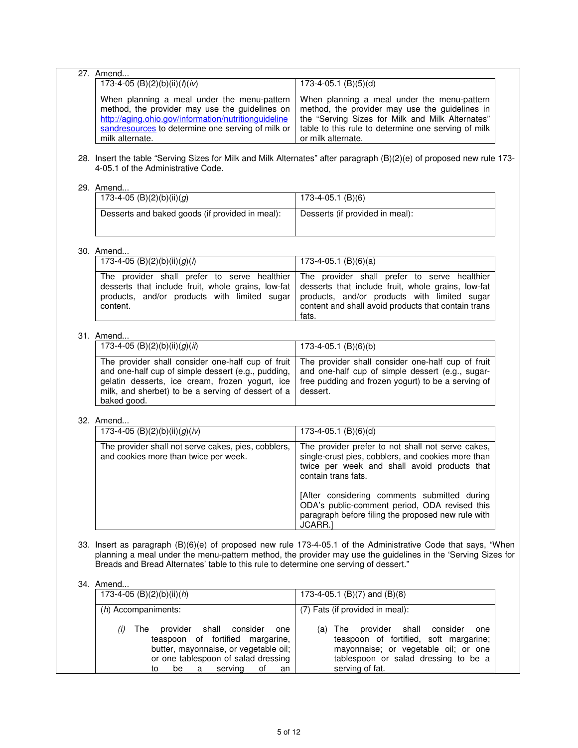| $\overline{27}$ . Amend<br>173-4-05 (B)(2)(b)(ii)( $f$ )(iv)                                                                                                                                                                    | $173-4-05.1$ (B)(5)(d)                                                                                                                                                                                                         |
|---------------------------------------------------------------------------------------------------------------------------------------------------------------------------------------------------------------------------------|--------------------------------------------------------------------------------------------------------------------------------------------------------------------------------------------------------------------------------|
| When planning a meal under the menu-pattern<br>method, the provider may use the guidelines on<br>http://aging.ohio.gov/information/nutritionguideline<br>sandresources to determine one serving of milk or<br>milk alternate.   | When planning a meal under the menu-pattern<br>method, the provider may use the guidelines in<br>the "Serving Sizes for Milk and Milk Alternates"<br>table to this rule to determine one serving of milk<br>or milk alternate. |
| 4-05.1 of the Administrative Code.                                                                                                                                                                                              | 28. Insert the table "Serving Sizes for Milk and Milk Alternates" after paragraph (B)(2)(e) of proposed new rule 173-                                                                                                          |
| 29. Amend                                                                                                                                                                                                                       |                                                                                                                                                                                                                                |
| 173-4-05 (B)(2)(b)(ii)(g)                                                                                                                                                                                                       | $173-4-05.1$ (B)(6)                                                                                                                                                                                                            |
| Desserts and baked goods (if provided in meal):                                                                                                                                                                                 | Desserts (if provided in meal):                                                                                                                                                                                                |
| 30. Amend<br>173-4-05 (B)(2)(b)(ii)(g)( $i$ )                                                                                                                                                                                   |                                                                                                                                                                                                                                |
|                                                                                                                                                                                                                                 | $173-4-05.1$ (B)(6)(a)                                                                                                                                                                                                         |
| The provider shall prefer to serve healthier<br>desserts that include fruit, whole grains, low-fat<br>products, and/or products with limited sugar<br>content.                                                                  | The provider shall prefer to serve healthier<br>desserts that include fruit, whole grains, low-fat<br>products, and/or products with limited sugar<br>content and shall avoid products that contain trans<br>fats.             |
| 31. Amend                                                                                                                                                                                                                       |                                                                                                                                                                                                                                |
| 173-4-05 (B)(2)(b)(ii)(g)(ii)                                                                                                                                                                                                   | $173-4-05.1$ (B)(6)(b)                                                                                                                                                                                                         |
| The provider shall consider one-half cup of fruit<br>and one-half cup of simple dessert (e.g., pudding,<br>gelatin desserts, ice cream, frozen yogurt, ice<br>milk, and sherbet) to be a serving of dessert of a<br>baked good. | The provider shall consider one-half cup of fruit<br>and one-half cup of simple dessert (e.g., sugar-<br>free pudding and frozen yogurt) to be a serving of<br>dessert.                                                        |
| 32. Amend                                                                                                                                                                                                                       |                                                                                                                                                                                                                                |
| 173-4-05 (B)(2)(b)(ii)(g)(iv)                                                                                                                                                                                                   | $173-4-05.1$ (B)(6)(d)                                                                                                                                                                                                         |
| The provider shall not serve cakes, pies, cobblers,<br>and cookies more than twice per week.                                                                                                                                    | The provider prefer to not shall not serve cakes,<br>single-crust pies, cobblers, and cookies more than<br>twice per week and shall avoid products that<br>contain trans fats.                                                 |
|                                                                                                                                                                                                                                 | [After considering comments submitted during<br>ODA's public-comment period, ODA revised this<br>paragraph before filing the proposed new rule with<br>JCARR.]                                                                 |
| Breads and Bread Alternates' table to this rule to determine one serving of dessert."                                                                                                                                           | 33. Insert as paragraph (B)(6)(e) of proposed new rule 173-4-05.1 of the Administrative Code that says, "When<br>planning a meal under the menu-pattern method, the provider may use the guidelines in the 'Serving Sizes for  |
| 34. Amend                                                                                                                                                                                                                       |                                                                                                                                                                                                                                |
| 173-4-05 (B)(2)(b)(ii)(h)                                                                                                                                                                                                       | 173-4-05.1 (B)(7) and (B)(8)                                                                                                                                                                                                   |
| $(h)$ Accompaniments:                                                                                                                                                                                                           | (7) Fats (if provided in meal):                                                                                                                                                                                                |
| The<br>provider<br>shall<br>consider<br>(i)<br>one<br>teaspoon<br>of fortified margarine,<br>butter, mayonnaise, or vegetable oil;<br>or one tablespoon of salad dressing<br>serving<br>be<br>a i<br>of<br>to<br>an             | $(a)$ The<br>provider<br>shall<br>consider<br>one<br>teaspoon of fortified, soft margarine;<br>mayonnaise; or vegetable oil; or one<br>tablespoon or salad dressing to be a<br>serving of fat.                                 |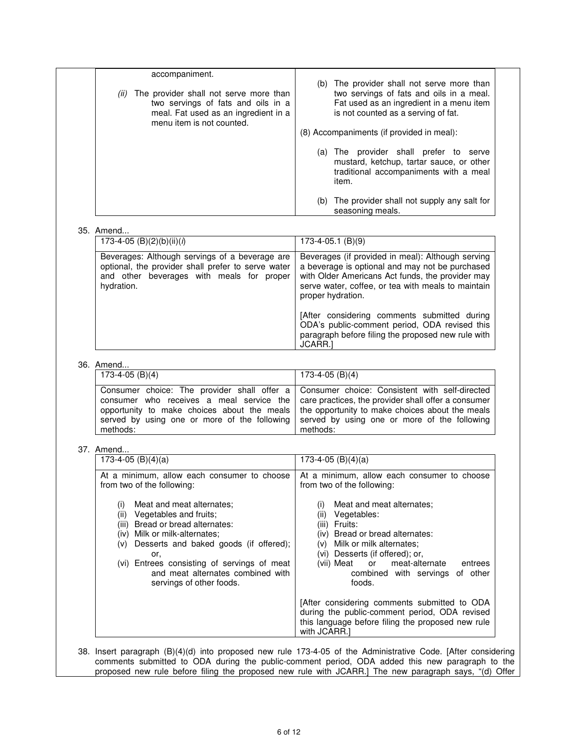| accompaniment.                                                                       | The provider shall not serve more than<br>(b)                                                                                            |
|--------------------------------------------------------------------------------------|------------------------------------------------------------------------------------------------------------------------------------------|
| The provider shall not serve more than<br>(ii)<br>two servings of fats and oils in a | two servings of fats and oils in a meal.<br>Fat used as an ingredient in a menu item                                                     |
| meal. Fat used as an ingredient in a<br>menu item is not counted.                    | is not counted as a serving of fat.                                                                                                      |
|                                                                                      | (8) Accompaniments (if provided in meal):                                                                                                |
|                                                                                      | The provider shall prefer to serve<br>(a)<br>mustard, ketchup, tartar sauce, or other<br>traditional accompaniments with a meal<br>item. |
|                                                                                      | The provider shall not supply any salt for<br>(b)<br>seasoning meals.                                                                    |

### 35. Amend.

| 173-4-05 (B)(2)(b)(ii)( $i$ )                                                                                                                                   | $173-4-05.1$ (B)(9)                                                                                                                                                                                                                 |
|-----------------------------------------------------------------------------------------------------------------------------------------------------------------|-------------------------------------------------------------------------------------------------------------------------------------------------------------------------------------------------------------------------------------|
| Beverages: Although servings of a beverage are<br>optional, the provider shall prefer to serve water<br>and other beverages with meals for proper<br>hydration. | Beverages (if provided in meal): Although serving<br>a beverage is optional and may not be purchased<br>with Older Americans Act funds, the provider may<br>serve water, coffee, or tea with meals to maintain<br>proper hydration. |
|                                                                                                                                                                 | [After considering comments submitted during<br>ODA's public-comment period, ODA revised this<br>paragraph before filing the proposed new rule with<br><b>JCARR.</b>                                                                |

# 36. Amend.

| ,,,,,,,,,,,,    |                                                                                                                                                                                                                                                                                                                                                                                                            |
|-----------------|------------------------------------------------------------------------------------------------------------------------------------------------------------------------------------------------------------------------------------------------------------------------------------------------------------------------------------------------------------------------------------------------------------|
| 173-4-05 (B)(4) | 173-4-05 (B)(4)                                                                                                                                                                                                                                                                                                                                                                                            |
| methods:        | Consumer choice: The provider shall offer a Consumer choice: Consistent with self-directed<br>consumer who receives a meal service the $\vert$ care practices, the provider shall offer a consumer<br>opportunity to make choices about the meals the opportunity to make choices about the meals<br>served by using one or more of the following served by using one or more of the following<br>methods: |

# 37. Amend.

| 173-4-05 $(B)(4)(a)$                                                                                                                                                                                                                                                                                         | 173-4-05 $(B)(4)(a)$                                                                                                                                                                                                                                                      |
|--------------------------------------------------------------------------------------------------------------------------------------------------------------------------------------------------------------------------------------------------------------------------------------------------------------|---------------------------------------------------------------------------------------------------------------------------------------------------------------------------------------------------------------------------------------------------------------------------|
| At a minimum, allow each consumer to choose<br>from two of the following:                                                                                                                                                                                                                                    | At a minimum, allow each consumer to choose<br>from two of the following:                                                                                                                                                                                                 |
| Meat and meat alternates:<br>(i)<br>Vegetables and fruits;<br>(ii)<br>(iii) Bread or bread alternates:<br>(iv) Milk or milk-alternates:<br>(v) Desserts and baked goods (if offered);<br>or.<br>(vi) Entrees consisting of servings of meat<br>and meat alternates combined with<br>servings of other foods. | Meat and meat alternates:<br>(i)<br>Vegetables:<br>(11)<br>Fruits:<br>(iii)<br>(iv) Bread or bread alternates:<br>(v) Milk or milk alternates:<br>(vi) Desserts (if offered); or,<br>(vii) Meat or meat-alternate<br>entrees<br>combined with servings of other<br>foods. |
|                                                                                                                                                                                                                                                                                                              | [After considering comments submitted to ODA<br>during the public-comment period, ODA revised<br>this language before filing the proposed new rule<br>with JCARR.                                                                                                         |

38. Insert paragraph (B)(4)(d) into proposed new rule 173-4-05 of the Administrative Code. [After considering comments submitted to ODA during the public-comment period, ODA added this new paragraph to the proposed new rule before filing the proposed new rule with JCARR.] The new paragraph says, "(d) Offer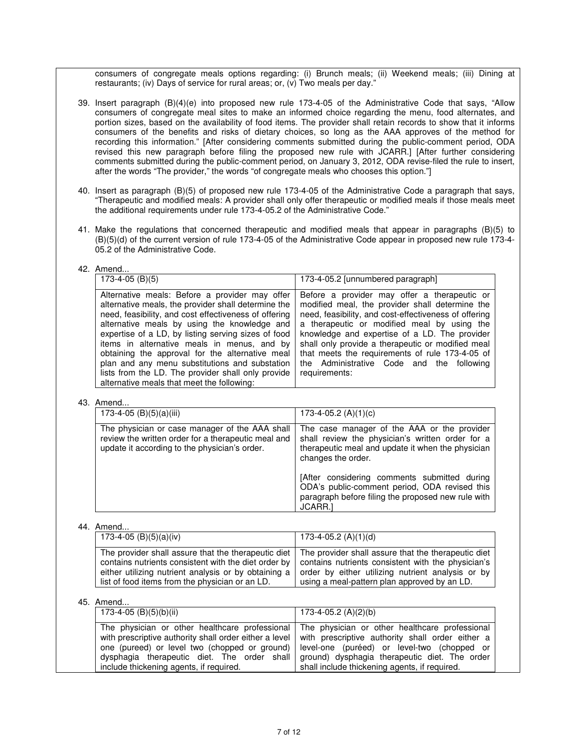consumers of congregate meals options regarding: (i) Brunch meals; (ii) Weekend meals; (iii) Dining at restaurants; (iv) Days of service for rural areas; or, (v) Two meals per day."

- 39. Insert paragraph (B)(4)(e) into proposed new rule 173-4-05 of the Administrative Code that says, "Allow consumers of congregate meal sites to make an informed choice regarding the menu, food alternates, and portion sizes, based on the availability of food items. The provider shall retain records to show that it informs consumers of the benefits and risks of dietary choices, so long as the AAA approves of the method for recording this information." [After considering comments submitted during the public-comment period, ODA revised this new paragraph before filing the proposed new rule with JCARR.] [After further considering comments submitted during the public-comment period, on January 3, 2012, ODA revise-filed the rule to insert, after the words "The provider," the words "of congregate meals who chooses this option."]
- 40. Insert as paragraph (B)(5) of proposed new rule 173-4-05 of the Administrative Code a paragraph that says, "Therapeutic and modified meals: A provider shall only offer therapeutic or modified meals if those meals meet the additional requirements under rule 173-4-05.2 of the Administrative Code."
- 41. Make the regulations that concerned therapeutic and modified meals that appear in paragraphs (B)(5) to (B)(5)(d) of the current version of rule 173-4-05 of the Administrative Code appear in proposed new rule 173-4- 05.2 of the Administrative Code.

<sup>42.</sup> Amend...

| 173-4-05 (B)(5)                                                                                                                                                                                                                                                                                                                                                                                                                                                                                                               | 173-4-05.2 [unnumbered paragraph]                                                                                                                                                                                                                                                                                                                                                                                              |
|-------------------------------------------------------------------------------------------------------------------------------------------------------------------------------------------------------------------------------------------------------------------------------------------------------------------------------------------------------------------------------------------------------------------------------------------------------------------------------------------------------------------------------|--------------------------------------------------------------------------------------------------------------------------------------------------------------------------------------------------------------------------------------------------------------------------------------------------------------------------------------------------------------------------------------------------------------------------------|
| Alternative meals: Before a provider may offer<br>alternative meals, the provider shall determine the<br>need, feasibility, and cost effectiveness of offering<br>alternative meals by using the knowledge and<br>expertise of a LD, by listing serving sizes of food<br>items in alternative meals in menus, and by<br>obtaining the approval for the alternative meal<br>plan and any menu substitutions and substation<br>lists from the LD. The provider shall only provide<br>alternative meals that meet the following: | Before a provider may offer a therapeutic or<br>modified meal, the provider shall determine the<br>need, feasibility, and cost-effectiveness of offering<br>a therapeutic or modified meal by using the<br>knowledge and expertise of a LD. The provider<br>shall only provide a therapeutic or modified meal<br>that meets the requirements of rule 173-4-05 of<br>the Administrative Code and the following<br>requirements: |

## 43. Amend...

| 173-4-05 (B)(5)(a)(iii)                                                                                                                                | 173-4-05.2 $(A)(1)(c)$                                                                                                                                                     |
|--------------------------------------------------------------------------------------------------------------------------------------------------------|----------------------------------------------------------------------------------------------------------------------------------------------------------------------------|
| The physician or case manager of the AAA shall<br>review the written order for a therapeutic meal and<br>update it according to the physician's order. | The case manager of the AAA or the provider<br>shall review the physician's written order for a<br>therapeutic meal and update it when the physician<br>changes the order. |
|                                                                                                                                                        | [After considering comments submitted during<br>ODA's public-comment period, ODA revised this<br>paragraph before filing the proposed new rule with<br>JCARR.1             |

# 44. Amend...

| 173-4-05 (B)(5)(a)(iv)                               | 173-4-05.2 (A)(1)(d)                                |
|------------------------------------------------------|-----------------------------------------------------|
| The provider shall assure that the therapeutic diet  | The provider shall assure that the therapeutic diet |
| contains nutrients consistent with the diet order by | contains nutrients consistent with the physician's  |
| either utilizing nutrient analysis or by obtaining a | order by either utilizing nutrient analysis or by   |
| list of food items from the physician or an LD.      | using a meal-pattern plan approved by an LD.        |

| $173-4-05$ (B)(5)(b)(ii)<br>$173-4-05.2$ (A)(2)(b)<br>The physician or other healthcare professional<br>The physician or other healthcare professional<br>with prescriptive authority shall order either a level<br>with prescriptive authority shall order either a<br>one (pureed) or level two (chopped or ground)<br>level-one (puréed) or level-two (chopped or<br>ground) dysphagia therapeutic diet. The order<br>dysphagia therapeutic diet. The order shall<br>shall include thickening agents, if required.<br>include thickening agents, if required. | ,, , ,,,, ,,,,,,, |  |  |
|------------------------------------------------------------------------------------------------------------------------------------------------------------------------------------------------------------------------------------------------------------------------------------------------------------------------------------------------------------------------------------------------------------------------------------------------------------------------------------------------------------------------------------------------------------------|-------------------|--|--|
|                                                                                                                                                                                                                                                                                                                                                                                                                                                                                                                                                                  |                   |  |  |
|                                                                                                                                                                                                                                                                                                                                                                                                                                                                                                                                                                  |                   |  |  |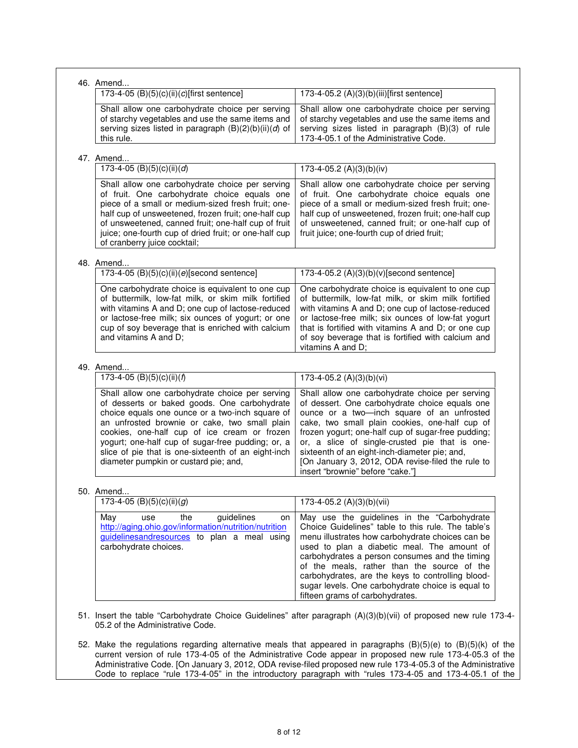| 173-4-05 (B)(5)(c)(ii)(c)[first sentence]                                                                                                                                                                                                                                                                                                                                                                | 173-4-05.2 (A)(3)(b)(iii)[first sentence]                                                                                                                                                                                                                                                                                                                                                                                                           |
|----------------------------------------------------------------------------------------------------------------------------------------------------------------------------------------------------------------------------------------------------------------------------------------------------------------------------------------------------------------------------------------------------------|-----------------------------------------------------------------------------------------------------------------------------------------------------------------------------------------------------------------------------------------------------------------------------------------------------------------------------------------------------------------------------------------------------------------------------------------------------|
| Shall allow one carbohydrate choice per serving<br>of starchy vegetables and use the same items and<br>serving sizes listed in paragraph (B)(2)(b)(ii)(d) of<br>this rule.                                                                                                                                                                                                                               | Shall allow one carbohydrate choice per serving<br>of starchy vegetables and use the same items and<br>serving sizes listed in paragraph (B)(3) of rule<br>173-4-05.1 of the Administrative Code.                                                                                                                                                                                                                                                   |
| 47. Amend                                                                                                                                                                                                                                                                                                                                                                                                |                                                                                                                                                                                                                                                                                                                                                                                                                                                     |
| 173-4-05 (B)(5)(c)(ii)(d)                                                                                                                                                                                                                                                                                                                                                                                | 173-4-05.2 $(A)(3)(b)(iv)$                                                                                                                                                                                                                                                                                                                                                                                                                          |
| Shall allow one carbohydrate choice per serving<br>of fruit. One carbohydrate choice equals one<br>piece of a small or medium-sized fresh fruit; one-<br>half cup of unsweetened, frozen fruit; one-half cup<br>of unsweetened, canned fruit; one-half cup of fruit<br>juice; one-fourth cup of dried fruit; or one-half cup<br>of cranberry juice cocktail;                                             | Shall allow one carbohydrate choice per serving<br>of fruit. One carbohydrate choice equals one<br>piece of a small or medium-sized fresh fruit; one-<br>half cup of unsweetened, frozen fruit; one-half cup<br>of unsweetened, canned fruit; or one-half cup of<br>fruit juice; one-fourth cup of dried fruit;                                                                                                                                     |
| 48. Amend                                                                                                                                                                                                                                                                                                                                                                                                |                                                                                                                                                                                                                                                                                                                                                                                                                                                     |
| 173-4-05 (B)(5)(c)(ii)(e)[second sentence]                                                                                                                                                                                                                                                                                                                                                               | 173-4-05.2 (A)(3)(b)(v)[second sentence]                                                                                                                                                                                                                                                                                                                                                                                                            |
| One carbohydrate choice is equivalent to one cup<br>of buttermilk, low-fat milk, or skim milk fortified<br>with vitamins A and D; one cup of lactose-reduced<br>or lactose-free milk; six ounces of yogurt; or one<br>cup of soy beverage that is enriched with calcium<br>and vitamins A and D;                                                                                                         | One carbohydrate choice is equivalent to one cup<br>of buttermilk, low-fat milk, or skim milk fortified<br>with vitamins A and D; one cup of lactose-reduced<br>or lactose-free milk; six ounces of low-fat yogurt<br>that is fortified with vitamins A and D; or one cup<br>of soy beverage that is fortified with calcium and<br>vitamins A and D;                                                                                                |
| 49. Amend                                                                                                                                                                                                                                                                                                                                                                                                |                                                                                                                                                                                                                                                                                                                                                                                                                                                     |
| 173-4-05 (B)(5)(c)(ii)( $\hat{f}$ )                                                                                                                                                                                                                                                                                                                                                                      | 173-4-05.2 (A)(3)(b)(vi)                                                                                                                                                                                                                                                                                                                                                                                                                            |
| Shall allow one carbohydrate choice per serving<br>of desserts or baked goods. One carbohydrate<br>choice equals one ounce or a two-inch square of<br>an unfrosted brownie or cake, two small plain<br>cookies, one-half cup of ice cream or frozen<br>yogurt; one-half cup of sugar-free pudding; or, a<br>slice of pie that is one-sixteenth of an eight-inch<br>diameter pumpkin or custard pie; and, | Shall allow one carbohydrate choice per serving<br>of dessert. One carbohydrate choice equals one<br>ounce or a two-inch square of an unfrosted<br>cake, two small plain cookies, one-half cup of<br>frozen yogurt; one-half cup of sugar-free pudding;<br>or, a slice of single-crusted pie that is one-<br>sixteenth of an eight-inch-diameter pie; and,<br>[On January 3, 2012, ODA revise-filed the rule to<br>insert "brownie" before "cake."] |
| 50. Amend                                                                                                                                                                                                                                                                                                                                                                                                |                                                                                                                                                                                                                                                                                                                                                                                                                                                     |
| 173-4-05 (B)(5)(c)(ii)(g)                                                                                                                                                                                                                                                                                                                                                                                | 173-4-05.2 $(A)(3)(b)(vii)$                                                                                                                                                                                                                                                                                                                                                                                                                         |
| the<br>guidelines<br>May<br>use<br>on<br>http://aging.ohio.gov/information/nutrition/nutrition<br>guidelinesandresources to plan a meal using<br>carbohydrate choices.                                                                                                                                                                                                                                   | May use the guidelines in the "Carbohydrate<br>Choice Guidelines" table to this rule. The table's<br>menu illustrates how carbohydrate choices can be<br>used to plan a diabetic meal. The amount of<br>carbohydrates a person consumes and the timing<br>of the meals, rather than the source of the<br>carbohydrates, are the keys to controlling blood-<br>sugar levels. One carbohydrate choice is equal to<br>fifteen grams of carbohydrates.  |
| 51. Insert the table "Carbohydrate Choice Guidelines" after paragraph (A)(3)(b)(vii) of proposed new rule 173-4-                                                                                                                                                                                                                                                                                         |                                                                                                                                                                                                                                                                                                                                                                                                                                                     |
| 05.2 of the Administrative Code.                                                                                                                                                                                                                                                                                                                                                                         |                                                                                                                                                                                                                                                                                                                                                                                                                                                     |

Administrative Code. [On January 3, 2012, ODA revise-filed proposed new rule 173-4-05.3 of the Administrative Code to replace "rule 173-4-05" in the introductory paragraph with "rules 173-4-05 and 173-4-05.1 of the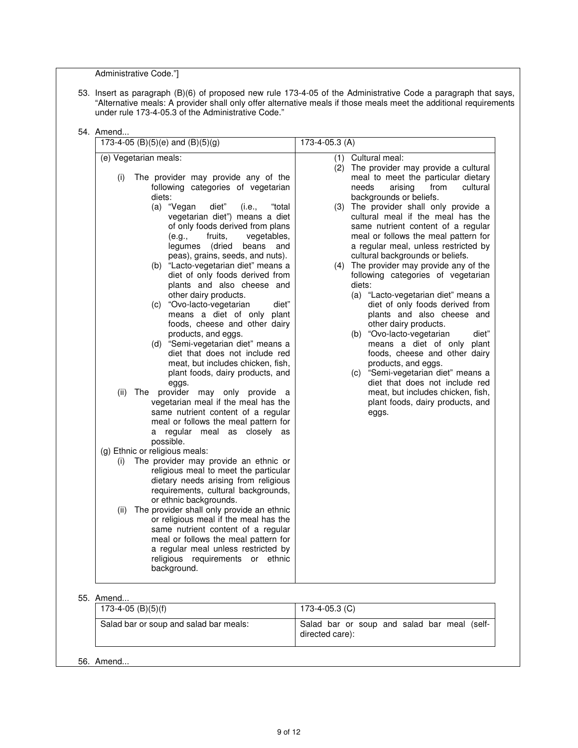Administrative Code."]

53. Insert as paragraph (B)(6) of proposed new rule 173-4-05 of the Administrative Code a paragraph that says, "Alternative meals: A provider shall only offer alternative meals if those meals meet the additional requirements under rule 173-4-05.3 of the Administrative Code."

| (e) Vegetarian meals:<br>The provider may provide any of the<br>(i)<br>following categories of vegetarian<br>diets:<br>diet"<br>(a) "Vegan<br>(i.e.,<br>"total<br>vegetarian diet") means a diet<br>of only foods derived from plans<br>(e.g.,<br>fruits,<br>vegetables,<br>legumes (dried<br>beans and<br>peas), grains, seeds, and nuts).<br>(b) "Lacto-vegetarian diet" means a<br>diet of only foods derived from<br>plants and also cheese and<br>other dairy products.<br>(c) "Ovo-lacto-vegetarian<br>diet"<br>means a diet of only plant<br>foods, cheese and other dairy<br>products, and eggs.<br>(d) "Semi-vegetarian diet" means a<br>diet that does not include red<br>meat, but includes chicken, fish,<br>plant foods, dairy products, and<br>eggs.<br>The provider may only provide a<br>(ii)<br>vegetarian meal if the meal has the<br>same nutrient content of a regular<br>meal or follows the meal pattern for<br>a regular meal as closely as<br>possible.<br>(g) Ethnic or religious meals:<br>The provider may provide an ethnic or<br>(i)<br>religious meal to meet the particular<br>dietary needs arising from religious<br>requirements, cultural backgrounds,<br>or ethnic backgrounds.<br>The provider shall only provide an ethnic<br>(ii)<br>or religious meal if the meal has the<br>same nutrient content of a regular<br>meal or follows the meal pattern for<br>a regular meal unless restricted by<br>religious requirements or ethnic<br>background. | (1) Cultural meal:<br>(2) The provider may provide a cultural<br>meal to meet the particular dietary<br>needs<br>arising<br>from<br>cultural<br>backgrounds or beliefs.<br>(3) The provider shall only provide a<br>cultural meal if the meal has the<br>same nutrient content of a regular<br>meal or follows the meal pattern for<br>a regular meal, unless restricted by<br>cultural backgrounds or beliefs.<br>(4) The provider may provide any of the<br>following categories of vegetarian<br>diets:<br>(a) "Lacto-vegetarian diet" means a<br>diet of only foods derived from<br>plants and also cheese and<br>other dairy products.<br>(b) "Ovo-lacto-vegetarian<br>diet"<br>means a diet of only plant<br>foods, cheese and other dairy<br>products, and eggs.<br>(c) "Semi-vegetarian diet" means a<br>diet that does not include red<br>meat, but includes chicken, fish,<br>plant foods, dairy products, and<br>eggs. |
|-------------------------------------------------------------------------------------------------------------------------------------------------------------------------------------------------------------------------------------------------------------------------------------------------------------------------------------------------------------------------------------------------------------------------------------------------------------------------------------------------------------------------------------------------------------------------------------------------------------------------------------------------------------------------------------------------------------------------------------------------------------------------------------------------------------------------------------------------------------------------------------------------------------------------------------------------------------------------------------------------------------------------------------------------------------------------------------------------------------------------------------------------------------------------------------------------------------------------------------------------------------------------------------------------------------------------------------------------------------------------------------------------------------------------------------------------------------------------------------------|-----------------------------------------------------------------------------------------------------------------------------------------------------------------------------------------------------------------------------------------------------------------------------------------------------------------------------------------------------------------------------------------------------------------------------------------------------------------------------------------------------------------------------------------------------------------------------------------------------------------------------------------------------------------------------------------------------------------------------------------------------------------------------------------------------------------------------------------------------------------------------------------------------------------------------------|

| D. AIIIEIIU                            |                                                                |  |  |  |
|----------------------------------------|----------------------------------------------------------------|--|--|--|
| $173-4-05$ (B)(5)(f)                   | 173-4-05.3 (C)                                                 |  |  |  |
| Salad bar or soup and salad bar meals: | Salad bar or soup and salad bar meal (self-<br>directed care): |  |  |  |
|                                        |                                                                |  |  |  |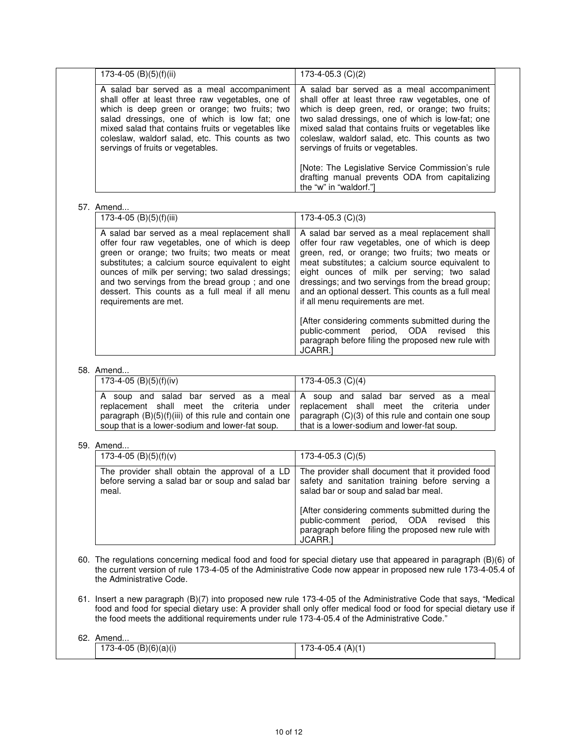| 173-4-05 (B)(5)(f)(ii)                                                                                                                                                                                                                                                                                                                                                                     | 173-4-05.3 (C)(2)                                                                                                                                                                                                                                                                                                                                                                                        |
|--------------------------------------------------------------------------------------------------------------------------------------------------------------------------------------------------------------------------------------------------------------------------------------------------------------------------------------------------------------------------------------------|----------------------------------------------------------------------------------------------------------------------------------------------------------------------------------------------------------------------------------------------------------------------------------------------------------------------------------------------------------------------------------------------------------|
| A salad bar served as a meal accompaniment<br>shall offer at least three raw vegetables, one of<br>which is deep green or orange; two fruits; two<br>salad dressings, one of which is low fat; one<br>mixed salad that contains fruits or vegetables like<br>coleslaw, waldorf salad, etc. This counts as two<br>servings of fruits or vegetables.                                         | A salad bar served as a meal accompaniment<br>shall offer at least three raw vegetables, one of<br>which is deep green, red, or orange; two fruits;<br>two salad dressings, one of which is low-fat; one<br>mixed salad that contains fruits or vegetables like<br>coleslaw, waldorf salad, etc. This counts as two<br>servings of fruits or vegetables.                                                 |
|                                                                                                                                                                                                                                                                                                                                                                                            | [Note: The Legislative Service Commission's rule<br>drafting manual prevents ODA from capitalizing<br>the "w" in "waldorf."]                                                                                                                                                                                                                                                                             |
| 57. Amend                                                                                                                                                                                                                                                                                                                                                                                  |                                                                                                                                                                                                                                                                                                                                                                                                          |
| $173-4-05$ (B)(5)(f)(iii)                                                                                                                                                                                                                                                                                                                                                                  | $173-4-05.3$ (C)(3)                                                                                                                                                                                                                                                                                                                                                                                      |
| A salad bar served as a meal replacement shall<br>offer four raw vegetables, one of which is deep<br>green or orange; two fruits; two meats or meat<br>substitutes; a calcium source equivalent to eight<br>ounces of milk per serving; two salad dressings;<br>and two servings from the bread group; and one<br>dessert. This counts as a full meal if all menu<br>requirements are met. | A salad bar served as a meal replacement shall<br>offer four raw vegetables, one of which is deep<br>green, red, or orange; two fruits; two meats or<br>meat substitutes; a calcium source equivalent to<br>eight ounces of milk per serving; two salad<br>dressings; and two servings from the bread group;<br>and an optional dessert. This counts as a full meal<br>if all menu requirements are met. |
|                                                                                                                                                                                                                                                                                                                                                                                            | [After considering comments submitted during the<br>public-comment period,<br>ODA<br>revised<br>this<br>paragraph before filing the proposed new rule with<br>JCARR.]                                                                                                                                                                                                                                    |
| 58. Amend                                                                                                                                                                                                                                                                                                                                                                                  |                                                                                                                                                                                                                                                                                                                                                                                                          |
| 173-4-05 (B)(5)(f)(iv)                                                                                                                                                                                                                                                                                                                                                                     | 173-4-05.3 $(C)(4)$                                                                                                                                                                                                                                                                                                                                                                                      |
| A soup and salad bar served as a meal<br>replacement shall meet the criteria under<br>paragraph (B)(5)(f)(iii) of this rule and contain one<br>soup that is a lower-sodium and lower-fat soup.                                                                                                                                                                                             | A soup and salad bar served as a meal<br>replacement shall meet the criteria under<br>paragraph (C)(3) of this rule and contain one soup<br>that is a lower-sodium and lower-fat soup.                                                                                                                                                                                                                   |
| 59. Amend                                                                                                                                                                                                                                                                                                                                                                                  |                                                                                                                                                                                                                                                                                                                                                                                                          |
| 173-4-05 (B)(5)(f)(v)                                                                                                                                                                                                                                                                                                                                                                      | $173-4-05.3$ (C)(5)                                                                                                                                                                                                                                                                                                                                                                                      |
| The provider shall obtain the approval of a LD<br>before serving a salad bar or soup and salad bar<br>meal.                                                                                                                                                                                                                                                                                | The provider shall document that it provided food<br>safety and sanitation training before serving a<br>salad bar or soup and salad bar meal.                                                                                                                                                                                                                                                            |
|                                                                                                                                                                                                                                                                                                                                                                                            | [After considering comments submitted during the<br>public-comment period, ODA revised<br>this<br>paragraph before filing the proposed new rule with<br>JCARR.]                                                                                                                                                                                                                                          |

- 60. The regulations concerning medical food and food for special dietary use that appeared in paragraph (B)(6) of the current version of rule 173-4-05 of the Administrative Code now appear in proposed new rule 173-4-05.4 of the Administrative Code.
- 61. Insert a new paragraph (B)(7) into proposed new rule 173-4-05 of the Administrative Code that says, "Medical food and food for special dietary use: A provider shall only offer medical food or food for special dietary use if the food meets the additional requirements under rule 173-4-05.4 of the Administrative Code."

| 62. | Amend                 |                     |  |
|-----|-----------------------|---------------------|--|
|     | 173-4-05 (B)(6)(a)(i) | 173-4-05.4 $(A)(1)$ |  |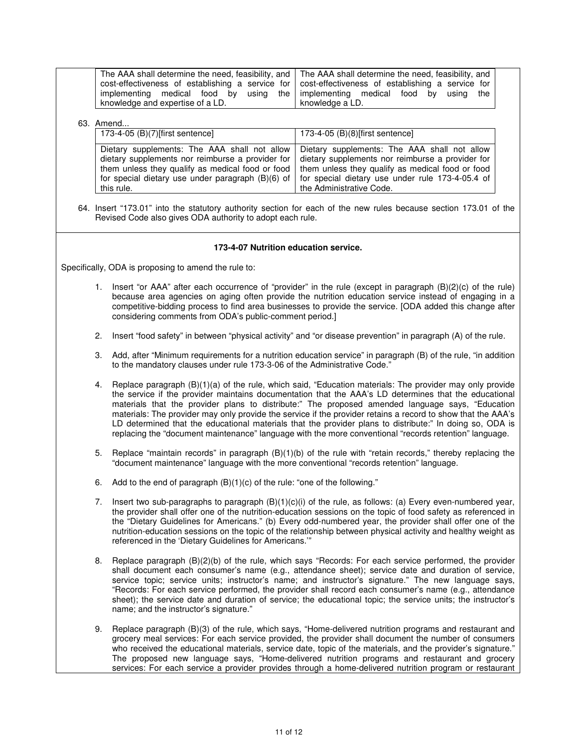|                                                                           | The AAA shall determine the need, feasibility, and   The AAA shall determine the need, feasibility, and |
|---------------------------------------------------------------------------|---------------------------------------------------------------------------------------------------------|
|                                                                           | cost-effectiveness of establishing a service for   cost-effectiveness of establishing a service for     |
| implementing medical food by using the implementing medical food by using | the I                                                                                                   |
| knowledge and expertise of a LD.                                          | knowledge a LD.                                                                                         |

### 63. Amend...

| 173-4-05 (B)(7) [first sentence] | 173-4-05 $(B)(8)$ [first sentence]                                                                                                                                                                                                                                                                                                                                                                                                                      |
|----------------------------------|---------------------------------------------------------------------------------------------------------------------------------------------------------------------------------------------------------------------------------------------------------------------------------------------------------------------------------------------------------------------------------------------------------------------------------------------------------|
| this rule.                       | Dietary supplements: The AAA shall not allow Dietary supplements: The AAA shall not allow<br>dietary supplements nor reimburse a provider for $\vert$ dietary supplements nor reimburse a provider for<br>them unless they qualify as medical food or food   them unless they qualify as medical food or food<br>for special dietary use under paragraph (B)(6) of $\vert$ for special dietary use under rule 173-4-05.4 of<br>the Administrative Code. |

64. Insert "173.01" into the statutory authority section for each of the new rules because section 173.01 of the Revised Code also gives ODA authority to adopt each rule.

#### **173-4-07 Nutrition education service.**

Specifically, ODA is proposing to amend the rule to:

- 1. Insert "or AAA" after each occurrence of "provider" in the rule (except in paragraph (B)(2)(c) of the rule) because area agencies on aging often provide the nutrition education service instead of engaging in a competitive-bidding process to find area businesses to provide the service. [ODA added this change after considering comments from ODA's public-comment period.]
- 2. Insert "food safety" in between "physical activity" and "or disease prevention" in paragraph (A) of the rule.
- 3. Add, after "Minimum requirements for a nutrition education service" in paragraph (B) of the rule, "in addition to the mandatory clauses under rule 173-3-06 of the Administrative Code."
- 4. Replace paragraph (B)(1)(a) of the rule, which said, "Education materials: The provider may only provide the service if the provider maintains documentation that the AAA's LD determines that the educational materials that the provider plans to distribute:" The proposed amended language says, "Education materials: The provider may only provide the service if the provider retains a record to show that the AAA's LD determined that the educational materials that the provider plans to distribute:" In doing so, ODA is replacing the "document maintenance" language with the more conventional "records retention" language.
- 5. Replace "maintain records" in paragraph (B)(1)(b) of the rule with "retain records," thereby replacing the "document maintenance" language with the more conventional "records retention" language.
- 6. Add to the end of paragraph (B)(1)(c) of the rule: "one of the following."
- 7. Insert two sub-paragraphs to paragraph (B)(1)(c)(i) of the rule, as follows: (a) Every even-numbered year, the provider shall offer one of the nutrition-education sessions on the topic of food safety as referenced in the "Dietary Guidelines for Americans." (b) Every odd-numbered year, the provider shall offer one of the nutrition-education sessions on the topic of the relationship between physical activity and healthy weight as referenced in the 'Dietary Guidelines for Americans.'"
- 8. Replace paragraph (B)(2)(b) of the rule, which says "Records: For each service performed, the provider shall document each consumer's name (e.g., attendance sheet); service date and duration of service, service topic; service units; instructor's name; and instructor's signature." The new language says, "Records: For each service performed, the provider shall record each consumer's name (e.g., attendance sheet); the service date and duration of service; the educational topic; the service units; the instructor's name; and the instructor's signature."
- 9. Replace paragraph (B)(3) of the rule, which says, "Home-delivered nutrition programs and restaurant and grocery meal services: For each service provided, the provider shall document the number of consumers who received the educational materials, service date, topic of the materials, and the provider's signature." The proposed new language says, "Home-delivered nutrition programs and restaurant and grocery services: For each service a provider provides through a home-delivered nutrition program or restaurant